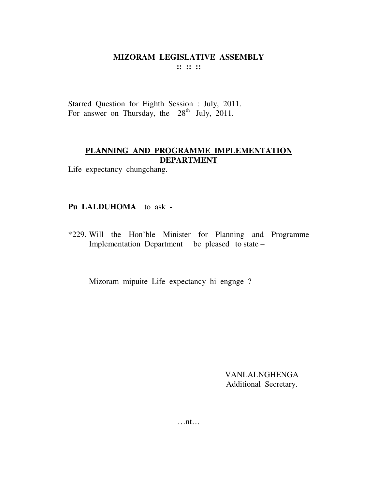$::::::$ 

Starred Question for Eighth Session : July, 2011. For answer on Thursday, the  $28<sup>th</sup>$  July, 2011.

# PLANNING AND PROGRAMME IMPLEMENTATION **DEPARTMENT**

Life expectancy chungchang.

# Pu LALDUHOMA to ask -

\*229. Will the Hon'ble Minister for Planning and Programme Implementation Department be pleased to state –

Mizoram mipuite Life expectancy hi engnge?

**VANLALNGHENGA** Additional Secretary.

 $\dots$ nt $\dots$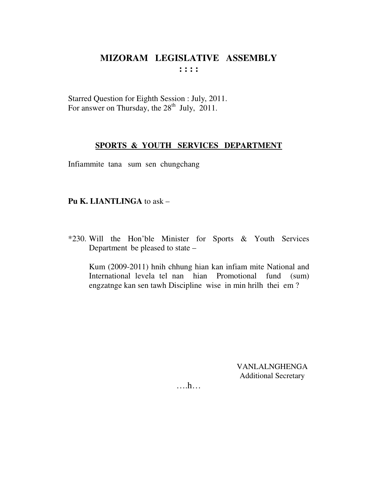Starred Question for Eighth Session : July, 2011. For answer on Thursday, the 28<sup>th</sup> July, 2011.

#### SPORTS & YOUTH SERVICES DEPARTMENT

Infiammite tana sum sen chungchang

#### Pu K. LIANTLINGA to ask -

\*230. Will the Hon'ble Minister for Sports & Youth Services Department be pleased to state –

Kum (2009-2011) hnih chhung hian kan infiam mite National and International levela tel nan hian Promotional fund (sum) engzatnge kan sen tawh Discipline wise in min hrilh thei em?

> **VANLALNGHENGA Additional Secretary**

....h...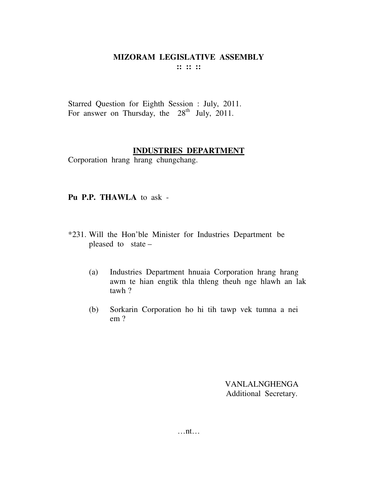$::::::$ 

Starred Question for Eighth Session : July, 2011. For answer on Thursday, the  $28<sup>th</sup>$  July, 2011.

## **INDUSTRIES DEPARTMENT**

Corporation hrang hrang chungchang.

#### Pu P.P. THAWLA to ask -

- \*231. Will the Hon'ble Minister for Industries Department be pleased to state -
	- Industries Department hnuaia Corporation hrang hrang  $(a)$ awm te hian engtik thla thleng theuh nge hlawh an lak tawh?
	- Sorkarin Corporation ho hi tih tawp vek tumna a nei  $(b)$  $em?$

**VANLALNGHENGA** Additional Secretary.

 $\dots$ nt $\dots$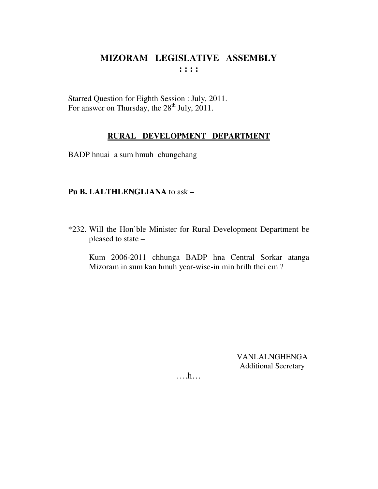Starred Question for Eighth Session : July, 2011. For answer on Thursday, the  $28^{th}$  July, 2011.

## **RURAL DEVELOPMENT DEPARTMENT**

BADP hnuai a sum hmuh chungchang

#### **Pu B. LALTHLENGLIANA** to ask –

\*232. Will the Hon'ble Minister for Rural Development Department be pleased to state –

Kum 2006-2011 chhunga BADP hna Central Sorkar atanga Mizoram in sum kan hmuh year-wise-in min hrilh thei em ?

> VANLALNGHENGA Additional Secretary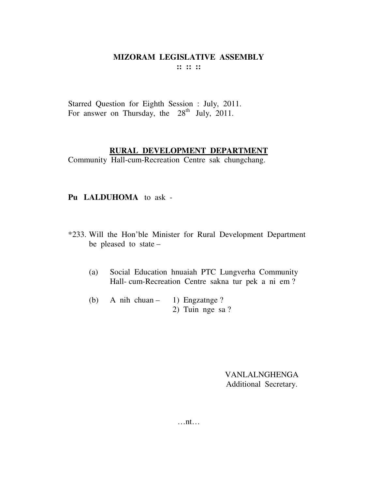**:: :: ::** 

Starred Question for Eighth Session : July, 2011. For answer on Thursday, the  $28<sup>th</sup>$  July, 2011.

# **RURAL DEVELOPMENT DEPARTMENT**

Community Hall-cum-Recreation Centre sak chungchang.

#### **Pu LALDUHOMA** to ask -

- \*233. Will the Hon'ble Minister for Rural Development Department be pleased to state –
	- (a) Social Education hnuaiah PTC Lungverha Community Hall- cum-Recreation Centre sakna tur pek a ni em ?
	- (b) A nih chuan 1) Engzatnge ? 2) Tuin nge sa ?

VANLALNGHENGA Additional Secretary.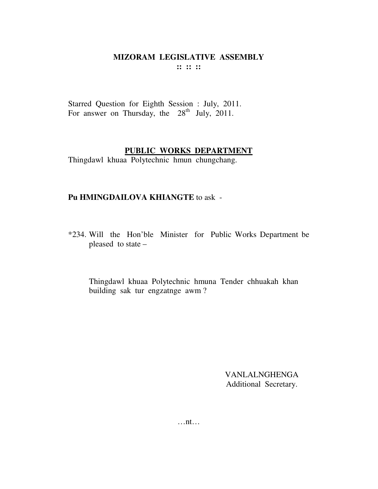**:: :: ::** 

Starred Question for Eighth Session : July, 2011. For answer on Thursday, the  $28<sup>th</sup>$  July, 2011.

## **PUBLIC WORKS DEPARTMENT**

Thingdawl khuaa Polytechnic hmun chungchang.

#### **Pu HMINGDAILOVA KHIANGTE** to ask -

\*234. Will the Hon'ble Minister for Public Works Department be pleased to state –

 Thingdawl khuaa Polytechnic hmuna Tender chhuakah khan building sak tur engzatnge awm ?

> VANLALNGHENGA Additional Secretary.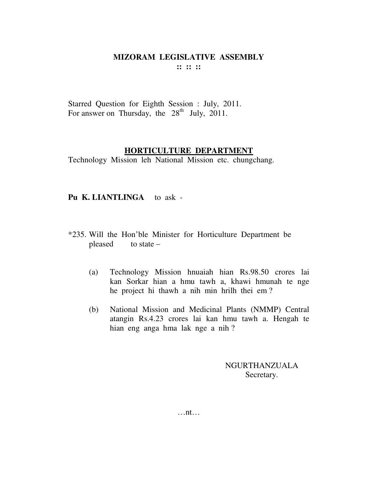**:: :: ::** 

Starred Question for Eighth Session : July, 2011. For answer on Thursday, the  $28<sup>th</sup>$  July, 2011.

## **HORTICULTURE DEPARTMENT**

Technology Mission leh National Mission etc. chungchang.

## **Pu K. LIANTLINGA** to ask -

- \*235. Will the Hon'ble Minister for Horticulture Department be pleased to state  $-$ 
	- (a) Technology Mission hnuaiah hian Rs.98.50 crores lai kan Sorkar hian a hmu tawh a, khawi hmunah te nge he project hi thawh a nih min hrilh thei em ?
	- (b) National Mission and Medicinal Plants (NMMP) Central atangin Rs.4.23 crores lai kan hmu tawh a. Hengah te hian eng anga hma lak nge a nih ?

NGURTHANZUALA Secretary.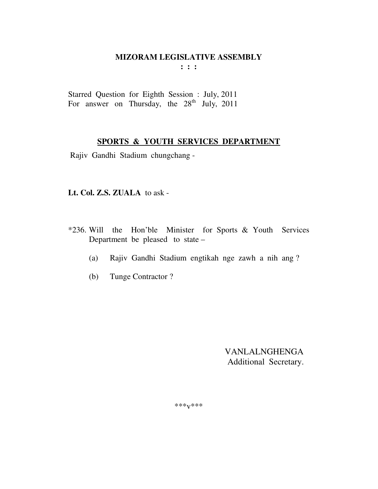**: : :** 

Starred Question for Eighth Session : July, 2011 For answer on Thursday, the  $28<sup>th</sup>$  July, 2011

#### **SPORTS & YOUTH SERVICES DEPARTMENT**

Rajiv Gandhi Stadium chungchang -

**Lt. Col. Z.S. ZUALA** to ask -

- \*236. Will the Hon'ble Minister for Sports & Youth Services Department be pleased to state –
	- (a) Rajiv Gandhi Stadium engtikah nge zawh a nih ang ?
	- (b) Tunge Contractor ?

VANLALNGHENGA Additional Secretary.

\*\*\*v\*\*\*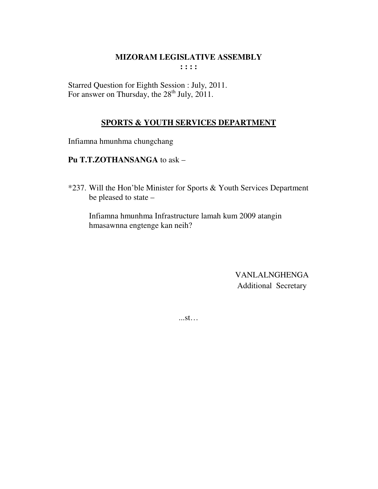**: : : :** 

Starred Question for Eighth Session : July, 2011. For answer on Thursday, the  $28<sup>th</sup>$  July, 2011.

## **SPORTS & YOUTH SERVICES DEPARTMENT**

Infiamna hmunhma chungchang

## **Pu T.T.ZOTHANSANGA** to ask –

\*237. Will the Hon'ble Minister for Sports & Youth Services Department be pleased to state –

 Infiamna hmunhma Infrastructure lamah kum 2009 atangin hmasawnna engtenge kan neih?

> VANLALNGHENGA Additional Secretary

...st…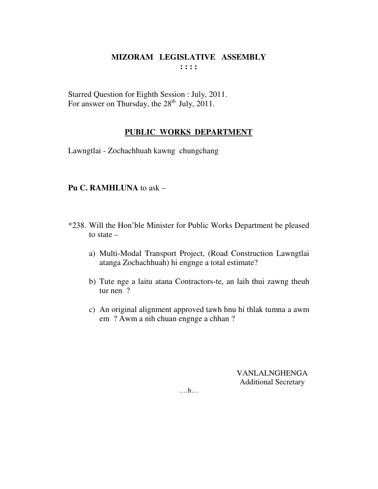Starred Question for Eighth Session : July, 2011. For answer on Thursday, the  $28<sup>th</sup>$  July,  $2011$ .

#### **PUBLIC WORKS DEPARTMENT**

Lawngtlai - Zochachhuah kawng chungchang

#### **Pu C. RAMHLUNA** to ask –

- \*238. Will the Hon'ble Minister for Public Works Department be pleased to state –
	- a) Multi-Modal Transport Project, (Road Construction Lawngtlai atanga Zochachhuah) hi engnge a total estimate?
	- b) Tute nge a laitu atana Contractors-te, an laih thui zawng theuh tur nen ?
	- c) An original alignment approved tawh hnu hi thlak tumna a awm em ? Awm a nih chuan engnge a chhan ?

VANLALNGHENGA Additional Secretary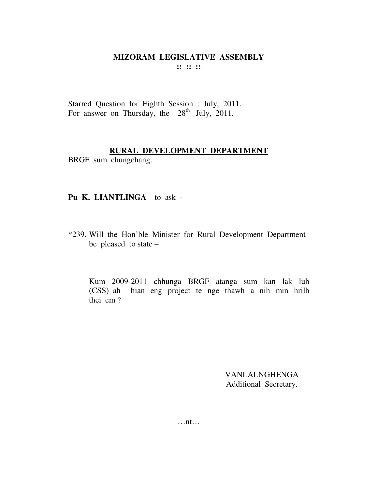**:: :: ::** 

Starred Question for Eighth Session : July, 2011. For answer on Thursday, the  $28<sup>th</sup>$  July, 2011.

## **RURAL DEVELOPMENT DEPARTMENT**

BRGF sum chungchang.

#### **Pu K. LIANTLINGA** to ask -

\*239. Will the Hon'ble Minister for Rural Development Department be pleased to state –

 Kum 2009-2011 chhunga BRGF atanga sum kan lak luh (CSS) ah hian eng project te nge thawh a nih min hrilh thei em ?

> VANLALNGHENGA Additional Secretary.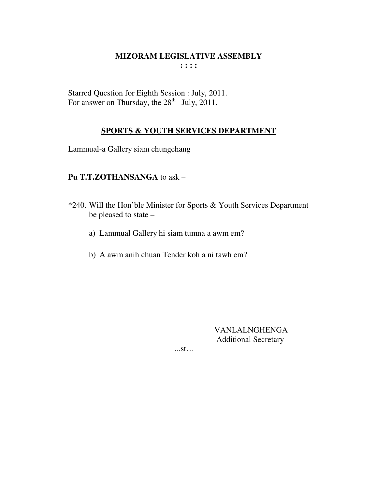Starred Question for Eighth Session : July, 2011. For answer on Thursday, the  $28<sup>th</sup>$  July, 2011.

## **SPORTS & YOUTH SERVICES DEPARTMENT**

Lammual-a Gallery siam chungchang

#### **Pu T.T.ZOTHANSANGA** to ask –

- \*240. Will the Hon'ble Minister for Sports & Youth Services Department be pleased to state –
	- a) Lammual Gallery hi siam tumna a awm em?
	- b) A awm anih chuan Tender koh a ni tawh em?

VANLALNGHENGA Additional Secretary

...st…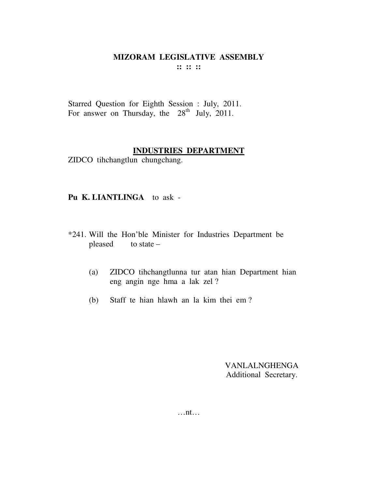**:: :: ::** 

Starred Question for Eighth Session : July, 2011. For answer on Thursday, the  $28<sup>th</sup>$  July, 2011.

#### **INDUSTRIES DEPARTMENT**

ZIDCO tihchangtlun chungchang.

#### **Pu K. LIANTLINGA** to ask -

- \*241. Will the Hon'ble Minister for Industries Department be pleased to state  $-$ 
	- (a) ZIDCO tihchangtlunna tur atan hian Department hian eng angin nge hma a lak zel ?
	- (b) Staff te hian hlawh an la kim thei em ?

VANLALNGHENGA Additional Secretary.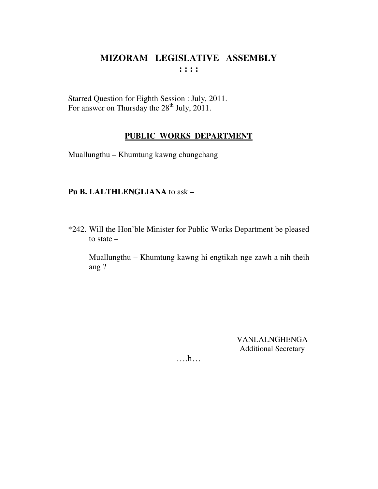Starred Question for Eighth Session : July, 2011. For answer on Thursday the  $28<sup>th</sup>$  July, 2011.

#### **PUBLIC WORKS DEPARTMENT**

Muallungthu – Khumtung kawng chungchang

### **Pu B. LALTHLENGLIANA** to ask –

\*242. Will the Hon'ble Minister for Public Works Department be pleased to state –

Muallungthu – Khumtung kawng hi engtikah nge zawh a nih theih ang ?

> VANLALNGHENGA Additional Secretary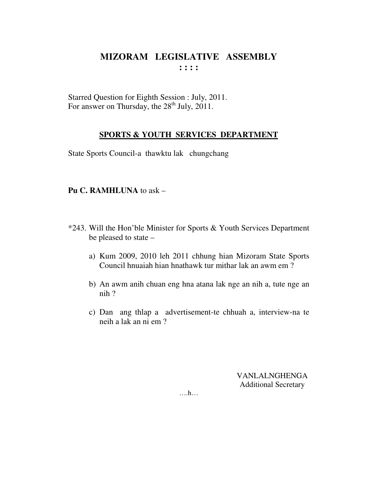Starred Question for Eighth Session : July, 2011. For answer on Thursday, the 28<sup>th</sup> July, 2011.

## **SPORTS & YOUTH SERVICES DEPARTMENT**

State Sports Council-a thawktu lak chungchang

#### **Pu C. RAMHLUNA** to ask –

- \*243. Will the Hon'ble Minister for Sports & Youth Services Department be pleased to state –
	- a) Kum 2009, 2010 leh 2011 chhung hian Mizoram State Sports Council hnuaiah hian hnathawk tur mithar lak an awm em ?
	- b) An awm anih chuan eng hna atana lak nge an nih a, tute nge an nih ?
	- c) Dan ang thlap a advertisement-te chhuah a, interview-na te neih a lak an ni em ?

VANLALNGHENGA Additional Secretary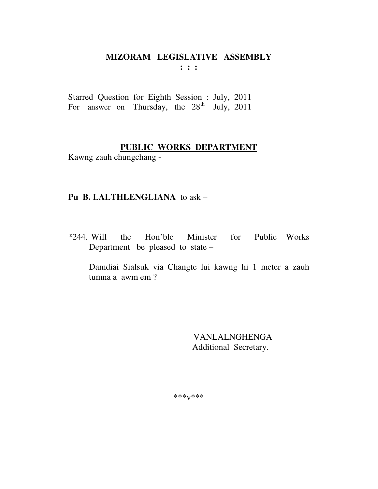Starred Question for Eighth Session : July, 2011 For answer on Thursday, the  $28<sup>th</sup>$  July, 2011

# **PUBLIC WORKS DEPARTMENT**

Kawng zauh chungchang -

## **Pu B. LALTHLENGLIANA** to ask –

\*244. Will the Hon'ble Minister for Public Works Department be pleased to state –

Damdiai Sialsuk via Changte lui kawng hi 1 meter a zauh tumna a awm em ?

> VANLALNGHENGA Additional Secretary.

\*\*\*v\*\*\*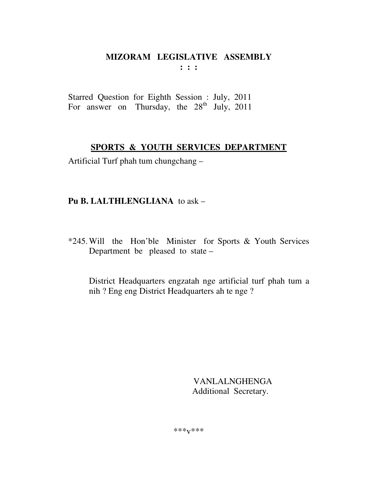Starred Question for Eighth Session : July, 2011 For answer on Thursday, the  $28<sup>th</sup>$  July, 2011

# **SPORTS & YOUTH SERVICES DEPARTMENT**

Artificial Turf phah tum chungchang –

# **Pu B. LALTHLENGLIANA** to ask –

\*245. Will the Hon'ble Minister for Sports & Youth Services Department be pleased to state –

 District Headquarters engzatah nge artificial turf phah tum a nih ? Eng eng District Headquarters ah te nge ?

> VANLALNGHENGA Additional Secretary.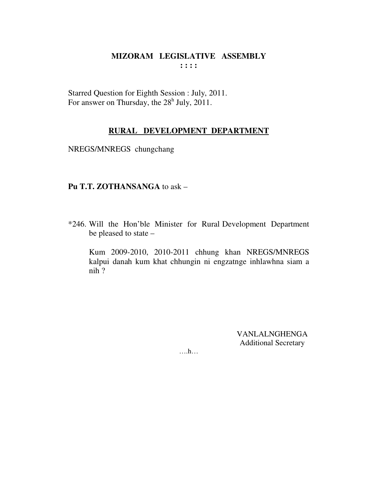Starred Question for Eighth Session : July, 2011. For answer on Thursday, the  $28<sup>h</sup>$  July,  $2011$ .

#### **RURAL DEVELOPMENT DEPARTMENT**

NREGS/MNREGS chungchang

#### **Pu T.T. ZOTHANSANGA** to ask –

\*246. Will the Hon'ble Minister for Rural Development Department be pleased to state –

Kum 2009-2010, 2010-2011 chhung khan NREGS/MNREGS kalpui danah kum khat chhungin ni engzatnge inhlawhna siam a nih ?

> VANLALNGHENGA Additional Secretary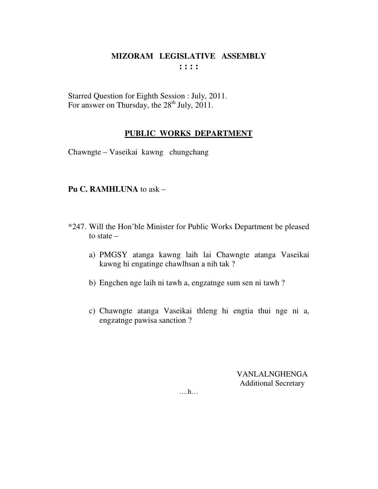Starred Question for Eighth Session : July, 2011. For answer on Thursday, the  $28^{th}$  July, 2011.

## **PUBLIC WORKS DEPARTMENT**

Chawngte – Vaseikai kawng chungchang

# **Pu C. RAMHLUNA** to ask –

- \*247. Will the Hon'ble Minister for Public Works Department be pleased to state –
	- a) PMGSY atanga kawng laih lai Chawngte atanga Vaseikai kawng hi engatinge chawlhsan a nih tak ?
	- b) Engchen nge laih ni tawh a, engzatnge sum sen ni tawh ?
	- c) Chawngte atanga Vaseikai thleng hi engtia thui nge ni a, engzatnge pawisa sanction ?

VANLALNGHENGA Additional Secretary